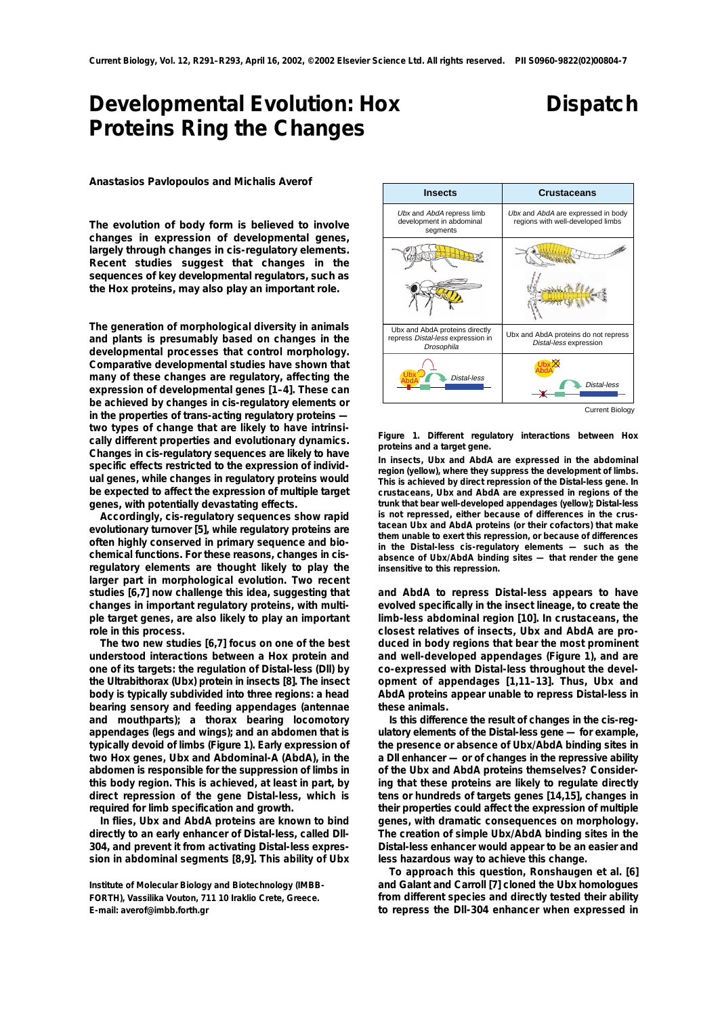## **Developmental Evolution: Hox Proteins Ring the Changes**

## **Dispatch**

**Anastasios Pavlopoulos and Michalis Averof**

**The evolution of body form is believed to involve changes in expression of developmental genes, largely through changes in cis-regulatory elements. Recent studies suggest that changes in the sequences of key developmental regulators, such as the Hox proteins, may also play an important role.**

**The generation of morphological diversity in animals and plants is presumably based on changes in the developmental processes that control morphology. Comparative developmental studies have shown that many of these changes are regulatory, affecting the expression of developmental genes [1–4]. These can be achieved by changes in** *cis***-regulatory elements or in the properties of** *trans***-acting regulatory proteins two types of change that are likely to have intrinsically different properties and evolutionary dynamics. Changes in** *cis***-regulatory sequences are likely to have specific effects restricted to the expression of individual genes, while changes in regulatory proteins would be expected to affect the expression of multiple target genes, with potentially devastating effects.** 

**Accordingly,** *cis***-regulatory sequences show rapid evolutionary turnover [5], while regulatory proteins are often highly conserved in primary sequence and biochemical functions. For these reasons, changes in** *cis***regulatory elements are thought likely to play the larger part in morphological evolution. Two recent studies [6,7] now challenge this idea, suggesting that changes in important regulatory proteins, with multiple target genes, are also likely to play an important role in this process.**

**The two new studies [6,7] focus on one of the best understood interactions between a Hox protein and one of its targets: the regulation of** *Distal-less (Dll***) by the Ultrabithorax (Ubx) protein in insects [8]. The insect body is typically subdivided into three regions: a head bearing sensory and feeding appendages (antennae and mouthparts); a thorax bearing locomotory appendages (legs and wings); and an abdomen that is typically devoid of limbs (Figure 1). Early expression of two** *Hox* **genes,** *Ubx* **and** *Abdominal-A (AbdA)***, in the abdomen is responsible for the suppression of limbs in this body region. This is achieved, at least in part, by direct repression of the gene** *Distal-less***, which is required for limb specification and growth.** 

**In flies, Ubx and AbdA proteins are known to bind directly to an early enhancer of** *Distal-less***, called** *Dll-304***, and prevent it from activating** *Distal-less* **expression in abdominal segments [8,9]. This ability of Ubx**



Current Biology

**Figure 1. Different regulatory interactions between Hox proteins and a target gene.**

**In insects,** *Ubx* **and** *AbdA* **are expressed in the abdominal region (yellow), where they suppress the development of limbs. This is achieved by direct repression of the** *Distal-less* **gene. In crustaceans,** *Ubx* **and** *AbdA* **are expressed in regions of the trunk that bear well-developed appendages (yellow);** *Distal-less* **is not repressed, either because of differences in the crustacean Ubx and AbdA proteins (or their cofactors) that make them unable to exert this repression, or because of differences in the** *Distal-less* **cis-regulatory elements — such as the absence of Ubx/AbdA binding sites — that render the gene insensitive to this repression.**

**and AbdA to repress** *Distal-less* **appears to have evolved specifically in the insect lineage, to create the limb-less abdominal region [10]. In crustaceans, the closest relatives of insects, Ubx and AbdA are produced in body regions that bear the most prominent and well-developed appendages (Figure 1), and are co-expressed with** *Distal-less* **throughout the development of appendages [1,11–13]. Thus, Ubx and AbdA proteins appear unable to repress** *Distal-less* **in these animals.**

**Is this difference the result of changes in the** *cis***-regulatory elements of the** *Distal-less* **gene — for example, the presence or absence of Ubx/AbdA binding sites in a** *Dll* **enhancer — or of changes in the repressive ability of the Ubx and AbdA proteins themselves? Considering that these proteins are likely to regulate directly tens or hundreds of targets genes [14,15], changes in their properties could affect the expression of multiple genes, with dramatic consequences on morphology. The creation of simple Ubx/AbdA binding sites in the** *Distal-less* **enhancer would appear to be an easier and less hazardous way to achieve this change.**

**To approach this question, Ronshaugen** *et al.* **[6] and Galant and Carroll [7] cloned the** *Ubx* **homologues from different species and directly tested their ability to repress the** *Dll-304* **enhancer when expressed in**

**Institute of Molecular Biology and Biotechnology (IMBB-FORTH), Vassilika Vouton, 711 10 Iraklio Crete, Greece. E-mail: averof@imbb.forth.gr**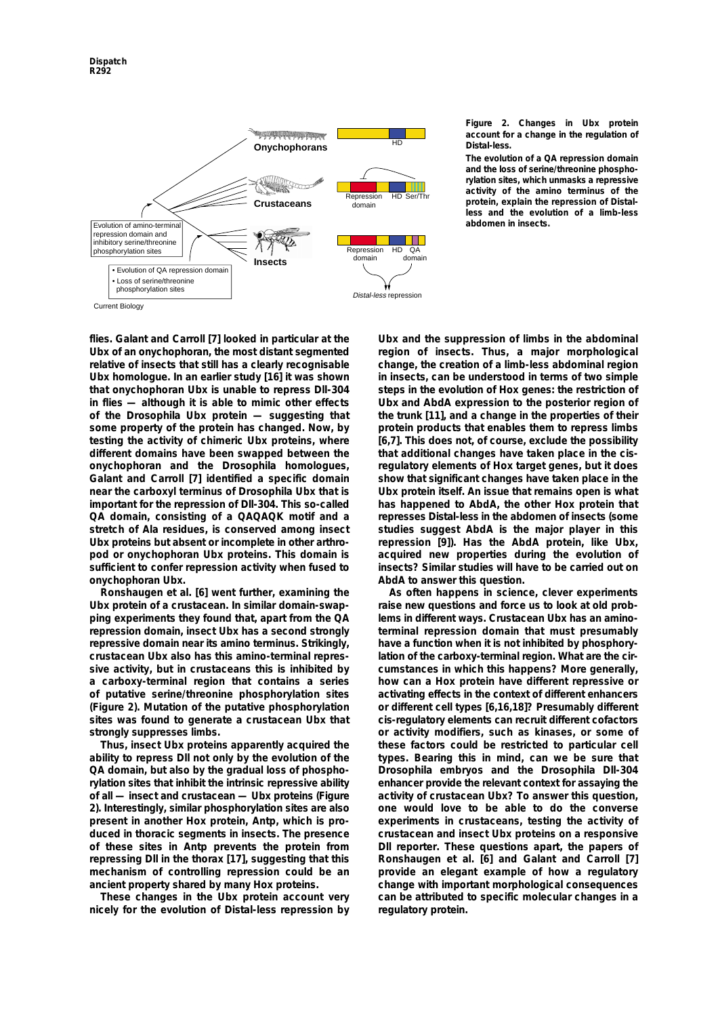

## **Figure 2. Changes in Ubx protein account for a change in the regulation of** *Distal-less***.**

**The evolution of a QA repression domain and the loss of serine/threonine phosphorylation sites, which unmasks a repressive activity of the amino terminus of the protein, explain the repression of** *Distalless* **and the evolution of a limb-less abdomen in insects.**

**flies. Galant and Carroll [7] looked in particular at the Ubx of an onychophoran, the most distant segmented relative of insects that still has a clearly recognisable Ubx homologue. In an earlier study [16] it was shown that onychophoran Ubx is unable to repress** *Dll-304* **in flies — although it is able to mimic other effects of the** *Drosophila* **Ubx protein — suggesting that some property of the protein has changed. Now, by testing the activity of chimeric Ubx proteins, where different domains have been swapped between the onychophoran and the** *Drosophila* **homologues, Galant and Carroll [7] identified a specific domain near the carboxyl terminus of** *Drosophila* **Ubx that is important for the repression of** *Dll-304***. This so-called QA domain, consisting of a QAQAQK motif and a stretch of Ala residues, is conserved among insect Ubx proteins but absent or incomplete in other arthropod or onychophoran Ubx proteins. This domain is sufficient to confer repression activity when fused to onychophoran Ubx.**

**Ronshaugen** *et al.* **[6] went further, examining the Ubx protein of a crustacean. In similar domain-swapping experiments they found that, apart from the QA repression domain, insect Ubx has a second strongly repressive domain near its amino terminus. Strikingly, crustacean Ubx also has this amino-terminal repressive activity, but in crustaceans this is inhibited by a carboxy-terminal region that contains a series of putative serine/threonine phosphorylation sites (Figure 2). Mutation of the putative phosphorylation sites was found to generate a crustacean Ubx that strongly suppresses limbs.**

**Thus, insect Ubx proteins apparently acquired the ability to repress** *Dll* **not only by the evolution of the QA domain, but also by the gradual loss of phosphorylation sites that inhibit the intrinsic repressive ability of all — insect and crustacean — Ubx proteins (Figure 2). Interestingly, similar phosphorylation sites are also present in another Hox protein, Antp, which is produced in thoracic segments in insects. The presence of these sites in Antp prevents the protein from repressing** *Dll* **in the thorax [17], suggesting that this mechanism of controlling repression could be an ancient property shared by many Hox proteins.**

**These changes in the Ubx protein account very nicely for the evolution of** *Distal-less* **repression by**

**Ubx and the suppression of limbs in the abdominal region of insects. Thus, a major morphological change, the creation of a limb-less abdominal region in insects, can be understood in terms of two simple steps in the evolution of Hox genes: the restriction of** *Ubx* **and** *AbdA* **expression to the posterior region of the trunk [11], and a change in the properties of their protein products that enables them to repress limbs [6,7]. This does not, of course, exclude the possibility that additional changes have taken place in the** *cis***regulatory elements of Hox target genes, but it does show that significant changes have taken place in the Ubx protein itself. An issue that remains open is what has happened to AbdA, the other Hox protein that represses** *Distal-less* **in the abdomen of insects (some studies suggest AbdA is the major player in this repression [9]). Has the AbdA protein, like Ubx, acquired new properties during the evolution of insects? Similar studies will have to be carried out on AbdA to answer this question.**

**As often happens in science, clever experiments raise new questions and force us to look at old problems in different ways. Crustacean Ubx has an aminoterminal repression domain that must presumably have a function when it is not inhibited by phosphorylation of the carboxy-terminal region. What are the circumstances in which this happens? More generally, how can a Hox protein have different repressive or activating effects in the context of different enhancers or different cell types [6,16,18]? Presumably different** *cis***-regulatory elements can recruit different cofactors or activity modifiers, such as kinases, or some of these factors could be restricted to particular cell types. Bearing this in mind, can we be sure that** *Drosophila* **embryos and the** *Drosophila Dll-304* **enhancer provide the relevant context for assaying the activity of crustacean Ubx? To answer this question, one would love to be able to do the converse experiments in crustaceans, testing the activity of crustacean and insect Ubx proteins on a responsive** *Dll* **reporter. These questions apart, the papers of Ronshaugen** *et al.* **[6] and Galant and Carroll [7] provide an elegant example of how a regulatory change with important morphological consequences can be attributed to specific molecular changes in a regulatory protein.**